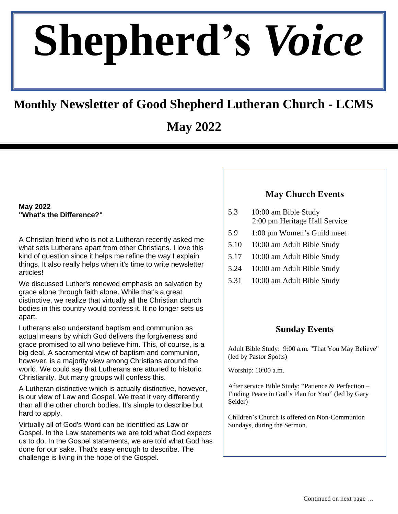# **Shepherd's** *Voice*

# **Monthly Newsletter of Good Shepherd Lutheran Church - LCMS**

**May 2022**

#### **May 2022 "What's the Difference?"**

A Christian friend who is not a Lutheran recently asked me what sets Lutherans apart from other Christians. I love this kind of question since it helps me refine the way I explain things. It also really helps when it's time to write newsletter articles!

We discussed Luther's renewed emphasis on salvation by grace alone through faith alone. While that's a great distinctive, we realize that virtually all the Christian church bodies in this country would confess it. It no longer sets us apart.

Lutherans also understand baptism and communion as actual means by which God delivers the forgiveness and grace promised to all who believe him. This, of course, is a big deal. A sacramental view of baptism and communion, however, is a majority view among Christians around the world. We could say that Lutherans are attuned to historic Christianity. But many groups will confess this.

A Lutheran distinctive which is actually distinctive, however, is our view of Law and Gospel. We treat it very differently than all the other church bodies. It's simple to describe but hard to apply.

Virtually all of God's Word can be identified as Law or Gospel. In the Law statements we are told what God expects us to do. In the Gospel statements, we are told what God has done for our sake. That's easy enough to describe. The challenge is living in the hope of the Gospel.

#### **May Church Events**

- 5.3 10:00 am Bible Study 2:00 pm Heritage Hall Service
- 5.9 1:00 pm Women's Guild meet
- 5.10 10:00 am Adult Bible Study
- 5.17 10:00 am Adult Bible Study
- 5.24 10:00 am Adult Bible Study
- 5.31 10:00 am Adult Bible Study

#### **Sunday Events**

Adult Bible Study: 9:00 a.m. "That You May Believe" (led by Pastor Spotts)

Worship: 10:00 a.m.

After service Bible Study: "Patience & Perfection – Finding Peace in God's Plan for You" (led by Gary Seider)

Children's Church is offered on Non-Communion Sundays, during the Sermon.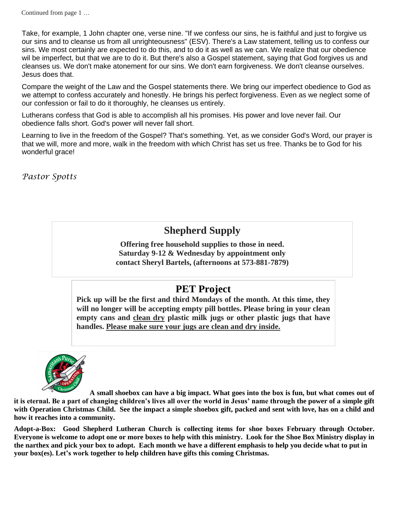cleanses us. We don't make atonement for our sins. We don't earn forgiveness. We don't cleanse ourselves. Take, for example, 1 John chapter one, verse nine. "If we confess our sins, he is faithful and just to forgive us our sins and to cleanse us from all unrighteousness" (ESV). There's a Law statement, telling us to confess our sins. We most certainly are expected to do this, and to do it as well as we can. We realize that our obedience wil be imperfect, but that we are to do it. But there's also a Gospel statement, saying that God forgives us and Jesus does that.

Compare the weight of the Law and the Gospel statements there. We bring our imperfect obedience to God as we attempt to confess accurately and honestly. He brings his perfect forgiveness. Even as we neglect some of our confession or fail to do it thoroughly, he cleanses us entirely.

Lutherans confess that God is able to accomplish all his promises. His power and love never fail. Our obedience falls short. God's power will never fall short.

Learning to live in the freedom of the Gospel? That's something. Yet, as we consider God's Word, our prayer is that we will, more and more, walk in the freedom with which Christ has set us free. Thanks be to God for his wonderful grace!

*Pastor Spotts*

## **Shepherd Supply**

**Offering free household supplies to those in need. Saturday 9-12 & Wednesday by appointment only contact Sheryl Bartels, (afternoons at 573-881-7879)**

## **PET Project**

**Pick up will be the first and third Mondays of the month. At this time, they will no longer will be accepting empty pill bottles. Please bring in your clean empty cans and clean dry plastic milk jugs or other plastic jugs that have handles. Please make sure your jugs are clean and dry inside.**



**A small shoebox can have a big impact. What goes into the box is fun, but what comes out of it is eternal. Be a part of changing children's lives all over the world in Jesus' name through the power of a simple gift with Operation Christmas Child. See the impact a simple shoebox gift, packed and sent with love, has on a child and how it reaches into a community.** 

**Adopt-a-Box: Good Shepherd Lutheran Church is collecting items for shoe boxes February through October. Everyone is welcome to adopt one or more boxes to help with this ministry. Look for the Shoe Box Ministry display in the narthex and pick your box to adopt. Each month we have a different emphasis to help you decide what to put in your box(es). Let's work together to help children have gifts this coming Christmas.**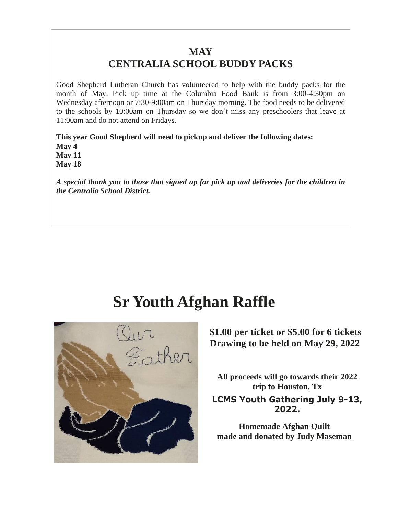## **MAY CENTRALIA SCHOOL BUDDY PACKS**

Good Shepherd Lutheran Church has volunteered to help with the buddy packs for the month of May. Pick up time at the Columbia Food Bank is from 3:00-4:30pm on Wednesday afternoon or 7:30-9:00am on Thursday morning. The food needs to be delivered to the schools by 10:00am on Thursday so we don't miss any preschoolers that leave at 11:00am and do not attend on Fridays.

**This year Good Shepherd will need to pickup and deliver the following dates: May 4 May 11 May 18** 

*A special thank you to those that signed up for pick up and deliveries for the children in the Centralia School District.*

# **Sr Youth Afghan Raffle**



**\$1.00 per ticket or \$5.00 for 6 tickets Drawing to be held on May 29, 2022**

**All proceeds will go towards their 2022 trip to Houston, Tx**

**LCMS Youth Gathering July 9-13, 2022.**

**Homemade Afghan Quilt made and donated by Judy Maseman**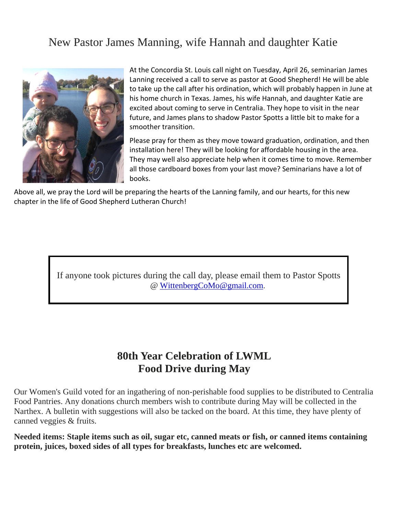# New Pastor James Manning, wife Hannah and daughter Katie



At the Concordia St. Louis call night on Tuesday, April 26, seminarian James Lanning received a call to serve as pastor at Good Shepherd! He will be able to take up the call after his ordination, which will probably happen in June at his home church in Texas. James, his wife Hannah, and daughter Katie are excited about coming to serve in Centralia. They hope to visit in the near future, and James plans to shadow Pastor Spotts a little bit to make for a smoother transition.

Please pray for them as they move toward graduation, ordination, and then installation here! They will be looking for affordable housing in the area. They may well also appreciate help when it comes time to move. Remember all those cardboard boxes from your last move? Seminarians have a lot of books.

Above all, we pray the Lord will be preparing the hearts of the Lanning family, and our hearts, for this new chapter in the life of Good Shepherd Lutheran Church!

> If anyone took pictures during the call day, please email them to Pastor Spotts @ [WittenbergCoMo@gmail.com](mailto:WittenbergCoMo@gmail.com).

## **80th Year Celebration of LWML Food Drive during May**

Our Women's Guild voted for an ingathering of non-perishable food supplies to be distributed to Centralia Food Pantries. Any donations church members wish to contribute during May will be collected in the Narthex. A bulletin with suggestions will also be tacked on the board. At this time, they have plenty of canned veggies & fruits.

**Needed items: Staple items such as oil, sugar etc, canned meats or fish, or canned items containing protein, juices, boxed sides of all types for breakfasts, lunches etc are welcomed.**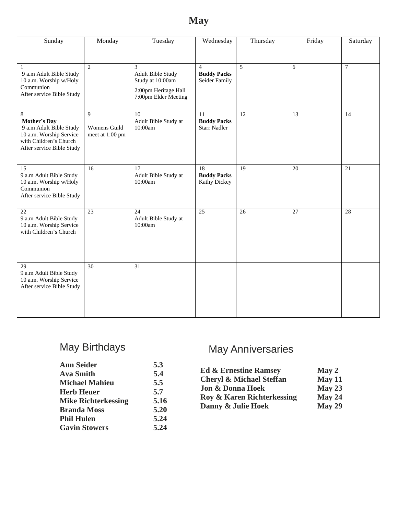# **May**

| Sunday                                                                                                                                | Monday                                         | Tuesday                                                                                           | Wednesday                                             | Thursday | Friday | Saturday |
|---------------------------------------------------------------------------------------------------------------------------------------|------------------------------------------------|---------------------------------------------------------------------------------------------------|-------------------------------------------------------|----------|--------|----------|
|                                                                                                                                       |                                                |                                                                                                   |                                                       |          |        |          |
| 1<br>9 a.m Adult Bible Study<br>10 a.m. Worship w/Holy<br>Communion<br>After service Bible Study                                      | 2                                              | 3<br><b>Adult Bible Study</b><br>Study at 10:00am<br>2:00pm Heritage Hall<br>7:00pm Elder Meeting | $\overline{4}$<br><b>Buddy Packs</b><br>Seider Family | 5        | 6      | $\tau$   |
| 8<br><b>Mother's Day</b><br>9 a.m Adult Bible Study<br>10 a.m. Worship Service<br>with Children's Church<br>After service Bible Study | $\mathbf Q$<br>Womens Guild<br>meet at 1:00 pm | $\overline{10}$<br>Adult Bible Study at<br>10:00am                                                | 11<br><b>Buddy Packs</b><br><b>Starr Nadler</b>       | 12       | 13     | 14       |
| 15<br>9 a.m Adult Bible Study<br>10 a.m. Worship w/Holy<br>Communion<br>After service Bible Study                                     | 16                                             | 17<br>Adult Bible Study at<br>$10:00am$                                                           | 18<br><b>Buddy Packs</b><br>Kathy Dickey              | 19       | 20     | 21       |
| 22<br>9 a.m Adult Bible Study<br>10 a.m. Worship Service<br>with Children's Church                                                    | 23                                             | 24<br>Adult Bible Study at<br>10:00am                                                             | $\overline{25}$                                       | 26       | 27     | 28       |
| 29<br>9 a.m Adult Bible Study<br>10 a.m. Worship Service<br>After service Bible Study                                                 | 30                                             | 31                                                                                                |                                                       |          |        |          |

# May Birthdays

| <b>Ann Seider</b>          | 5.3  |
|----------------------------|------|
| <b>Ava Smith</b>           | 5.4  |
| <b>Michael Mahieu</b>      | 5.5  |
| <b>Herb Heuer</b>          | 5.7  |
| <b>Mike Richterkessing</b> | 5.16 |
| <b>Branda Moss</b>         | 5.20 |
| <b>Phil Hulen</b>          | 5.24 |
| <b>Gavin Stowers</b>       | 5.24 |

# May Anniversaries

| <b>Ed &amp; Ernestine Ramsey</b>      | May 2         |
|---------------------------------------|---------------|
| <b>Cheryl &amp; Michael Steffan</b>   | May 11        |
| <b>Jon &amp; Donna Hoek</b>           | May 23        |
| <b>Roy &amp; Karen Richterkessing</b> | May 24        |
| Danny & Julie Hoek                    | <b>May 29</b> |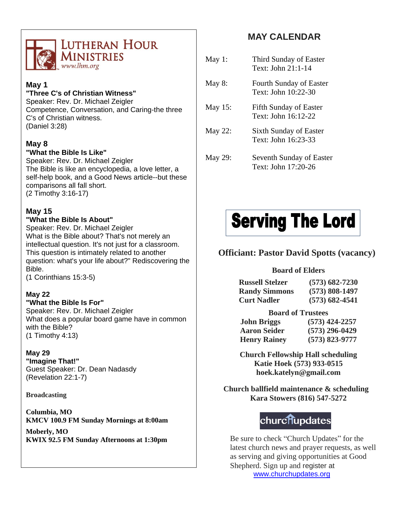

#### **May 1**

#### **"Three C's of Christian Witness"**

Speaker: Rev. Dr. Michael Zeigler Competence, Conversation, and Caring-the three C's of Christian witness. (Daniel 3:28)

#### **May 8**

#### **"What the Bible Is Like"**

Speaker: Rev. Dr. Michael Zeigler The Bible is like an encyclopedia, a love letter, a self-help book, and a Good News article--but these comparisons all fall short. (2 Timothy 3:16-17)

#### **May 15**

#### **"What the Bible Is About"**

Speaker: Rev. Dr. Michael Zeigler What is the Bible about? That's not merely an intellectual question. It's not just for a classroom. This question is intimately related to another question: what's your life about?" Rediscovering the Bible.

(1 Corinthians 15:3-5)

#### **May 22**

#### **"What the Bible Is For"**

Speaker: Rev. Dr. Michael Zeigler What does a popular board game have in common with the Bible? (1 Timothy 4:13)

#### **May 29**

**"Imagine That!"** Guest Speaker: Dr. Dean Nadasdy (Revelation 22:1-7)

**Broadcasting**

**Columbia, MO KMCV 100.9 FM Sunday Mornings at 8:00am**

 **Moberly, MO KWIX 92.5 FM Sunday Afternoons at 1:30pm**

## **MAY CALENDAR**

- May 1: Third Sunday of Easter Text: John 21:1-14 May 8: Fourth Sunday of Easter Text: John 10:22-30 May 15: Fifth Sunday of Easter Text: John 16:12-22 May 22: Sixth Sunday of Easter Text: John 16:23-33 May 29: Seventh Sunday of Easter
	- Text: John 17:20-26



#### **Officiant: Pastor David Spotts (vacancy)**

#### **Board of Elders**

| <b>Russell Stelzer</b> | $(573) 682 - 7230$ |
|------------------------|--------------------|
| <b>Randy Simmons</b>   | $(573) 808 - 1497$ |
| <b>Curt Nadler</b>     | $(573)$ 682-4541   |

#### **Board of Trustees**

| <b>John Briggs</b>  | $(573)$ 424-2257   |
|---------------------|--------------------|
| <b>Aaron Seider</b> | $(573)$ 296-0429   |
| <b>Henry Rainey</b> | $(573) 823 - 9777$ |

**Church Fellowship Hall scheduling Katie Hoek (573) 933-0515 hoek.katelyn@gmail.com**

**Church ballfield maintenance & scheduling Kara Stowers (816) 547-5272**

## churchupdates

Be sure to check "Church Updates" for the latest church news and prayer requests, as well as serving and giving opportunities at Good Shepherd. Sign up and register at [www.churchupdates.org](http://www.churchupdates.org/)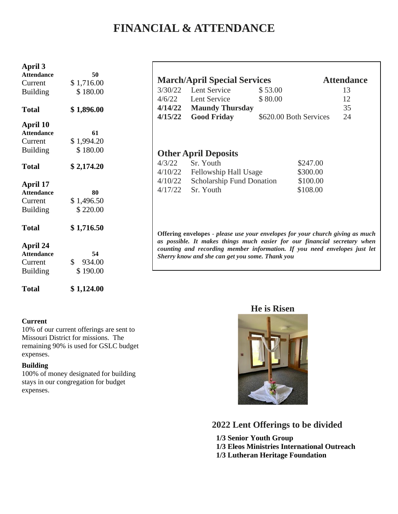# **FINANCIAL & ATTENDANCE**

| April 3           |              |
|-------------------|--------------|
| <b>Attendance</b> | 50           |
| Current           | \$1,716.00   |
| <b>Building</b>   | \$180.00     |
| <b>Total</b>      | \$1,896.00   |
| <b>April 10</b>   |              |
| <b>Attendance</b> | 61           |
| Current           | \$1,994.20   |
| <b>Building</b>   | \$180.00     |
| <b>Total</b>      | \$2,174.20   |
| April 17          |              |
| <b>Attendance</b> | 80           |
| Current           | \$1,496.50   |
| <b>Building</b>   | \$220.00     |
| <b>Total</b>      | \$1,716.50   |
| <b>April 24</b>   |              |
| <b>Attendance</b> | 54           |
| Current           | 934.00<br>\$ |
| <b>Building</b>   | \$190.00     |
| <b>Total</b>      | \$1,124.00   |

#### **Current**

10% of our current offerings are sent to Missouri District for missions. The remaining 90% is used for GSLC budget expenses.

#### **Building**

100% of money designated for building stays in our congregation for budget expenses.

|         | <b>March/April Special Services</b> |                        | <b>Attendance</b> |
|---------|-------------------------------------|------------------------|-------------------|
|         | 3/30/22 Lent Service                | \$53.00                | 13                |
| 4/6/22  | Lent Service                        | \$80.00                | 12                |
| 4/14/22 | <b>Maundy Thursday</b>              |                        | 35                |
| 4/15/22 | <b>Good Friday</b>                  | \$620.00 Both Services | 24                |

#### **Other April Deposits**

| 4/3/22  | Sr. Youth                        | \$247.00 |
|---------|----------------------------------|----------|
| 4/10/22 | <b>Fellowship Hall Usage</b>     | \$300.00 |
| 4/10/22 | <b>Scholarship Fund Donation</b> | \$100.00 |
| 4/17/22 | Sr. Youth                        | \$108.00 |

 **Offering envelopes** - *please use your envelopes for your church giving as much as possible. It makes things much easier for our financial secretary when counting and recording member information. If you need envelopes just let Sherry know and she can get you some. Thank you*

#### **He is Risen**



#### **2022 Lent Offerings to be divided**

**1/3 Senior Youth Group**

- **1/3 Eleos Ministries International Outreach**
- **1/3 Lutheran Heritage Foundation**